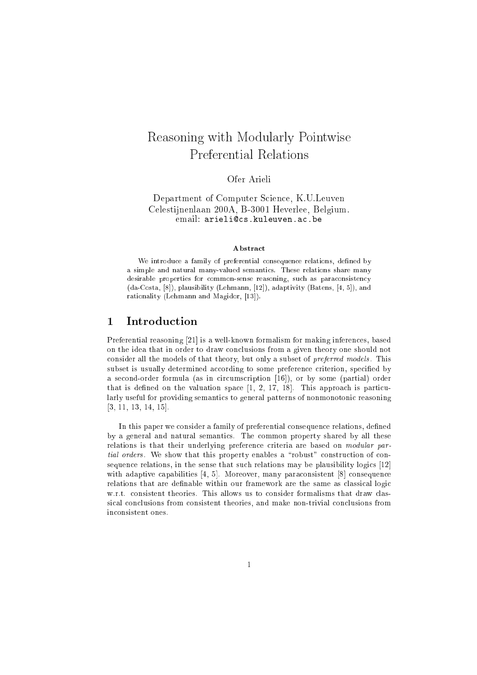# Reasoning with Modularly Pointwise

Ofer Arieli

Department of Computer Science, K.U.Leuven Celestijnenlaan 200A, B-3001 Heverlee, Belgium. email: arieli@cs.kuleuven.ac.be

#### Abstract

We introduce a family of preferential consequence relations, defined by a simple and natural many-valued semantics. These relations share many desirable properties for common-sense reasoning, such as paraconsistency (da-Costa, [8]), plausibility (Lehmann, [12]), adaptivity (Batens, [4, 5]), and rationality (Lehmann and Magidor, [13]).

Preferential reasoning [21] is a well-known formalism for making inferences, based on the idea that in order to draw conclusions from a given theory one should not consider all the models of that theory, but only a subset of preferred models . This subset is usually determined according to some preference criterion, specified by a second-order formula (as in circumscription [16]), or by some (partial) order that is defined on the valuation space  $[1, 2, 17, 18]$ . This approach is particularly useful for providing semantics to general patterns of nonmonotonic reasoning [3, 11, 13, 14, 15].

In this paper we consider a family of preferential consequence relations, defined by a general and natural semantics. The common property shared by all these relations is that their underlying preference criteria are based on *modular par*tial orders . We show that this property enables a \robust" construction of consequence relations, in the sense that such relations may be plausibility logics [12] with adaptive capabilities  $[4, 5]$ . Moreover, many paraconsistent  $[8]$  consequence relations that are definable within our framework are the same as classical logic w.r.t. consistent theories. This allows us to consider formalisms that draw classical conclusions from consistent theories, and make non-trivial conclusions from inconsistent ones.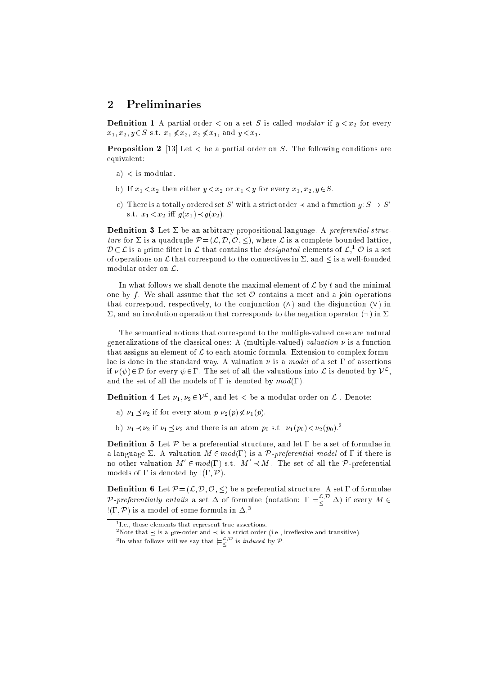### 2 Preliminaries

**Definition 1** A partial order  $\lt$  on a set S is called modular if  $y \lt x_2$  for every  $x_1, x_2, y \in S$  s.t.  $x_1 \nless x_2, x_2 \nless x_1$ , and  $y \le x_1$ .

**Proposition 2** [13] Let  $\lt$  be a partial order on S. The following conditions are equivalent:

- a)  $\langle$  is modular.
- b) If  $x_1 < x_2$  then either  $y < x_2$  or  $x_1 < y$  for every  $x_1, x_2, y \in S$ .
- c) There is a totally ordered set SQ with a strict order  $\prec$  and a function  $g : S \to S$ s.t.  $x_1 < x_2$  iff  $q(x_1) \prec q(x_2)$ .

**Definition 3** Let  $\Sigma$  be an arbitrary propositional language. A preferential structure for is a quadruple <sup>P</sup> =(L; D; O; ), where <sup>L</sup> is a complete bounded lattice,  $D \subset L$  is a prime filter in  $L$  that contains the *designated* elements of  $L$ ,  $\subset$  is a set of operations on L that correspond to the connectives in  $\Sigma$ , and  $\leq$  is a well-founded modular order on L.

In what follows we shall denote the maximal element of  $\mathcal L$  by t and the minimal one by f. We shall assume that the set  $\mathcal O$  contains a meet and a join operations that correspond, respectively, to the conjunction  $(\wedge)$  and the disjunction  $(\vee)$  in  $\Sigma$ , and an involution operation that corresponds to the negation operator  $(\neg)$  in  $\Sigma$ .

The semantical notions that correspond to the multiple-valued case are natural generalizations of the classical ones: A (multiple-valued) valuation  $\nu$  is a function that assigns an element of  $\mathcal L$  to each atomic formula. Extension to complex formulae is done in the standard way. A valuation  $\nu$  is a model of a set  $\Gamma$  of assertions If  $\nu(\nu) \in \nu$  for every  $\nu \in I$ . The set of all the valuations into L is denoted by  $\nu^-,$ and the set of all the models of  $\Gamma$  is denoted by  $mod(\Gamma)$ .

**Definition** 4 Let  $\nu_1, \nu_2 \in V^{\perp}$ , and let  $\lt$  be a modular order on  $L$ . Denote:

- a)  $\nu_1 \preceq \nu_2$  if for every atom  $p \nu_2(p) \nless \nu_1(p)$ .
- b)  $\nu_1 \prec \nu_2$  if  $\nu_1 \preceq \nu_2$  and there is an atom  $p_0$  s.t.  $\nu_1(p_0) \lt \nu_2(p_0)$ .<sup>2</sup>

Denition <sup>5</sup> Let <sup>P</sup> be a preferential structure, and let be a set of formulae in a language  $\Sigma$ . A valuation  $M \in mod(\Gamma)$  is a P-preferential model of  $\Gamma$  if there is no other valuation  $M \in mod(1)$  s.t.  $M \prec M$ . The set of all the P-preferential models of  $\Gamma$  is denoted by  $!(\Gamma, \mathcal{P})$ .

**Definition 6** Let  $P = (\mathcal{L}, \mathcal{D}, \mathcal{O}, \leq)$  be a preferential structure. A set  $\Gamma$  of formulae P-preferentially entails a set  $\Delta$  of formulae (notation:  $1 \models \sim$   $\Delta$ ) if every M  $\in$  $!(\Gamma, \mathcal{P})$  is a model of some formula in  $\Delta^3$ 

<sup>1</sup> I.e., those elements that represent true assertions.

Thote that  $\preceq$  is a pre-order and  $\preceq$  is a strict order (i.e., irreflexive and transitive).

 $^{\circ}$  In what follows will we say that  $\models^{\sim}_{\leq}$  is induced by  ${\cal P}.$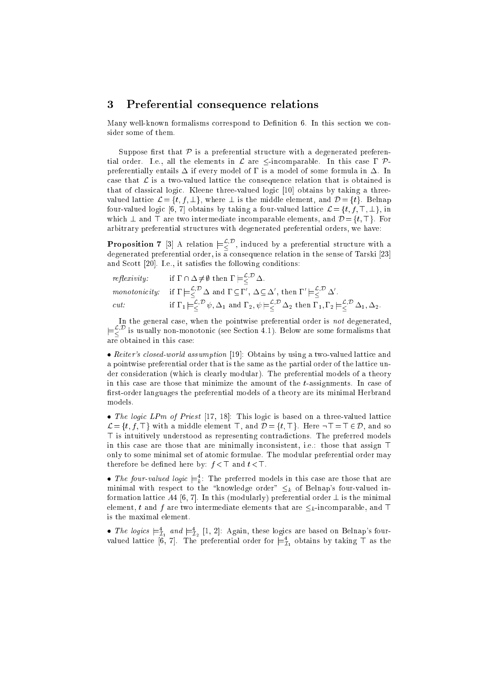#### 3 Preferential consequence relations

Many well-known formalisms correspond to Definition 6. In this section we consider some of them.

Suppose first that  $P$  is a preferential structure with a degenerated preferential order. I.e., all the elements in  $\mathcal L$  are  $\leq$ -incomparable. In this case  $\Gamma$   $\mathcal P$ preferentially entails  $\Delta$  if every model of  $\Gamma$  is a model of some formula in  $\Delta$ . In case that  $\mathcal L$  is a two-valued lattice the consequence relation that is obtained is that of classical logic. Kleene three-valued logic [10] obtains by taking a threevalued lattice  $\mathcal{L} = \{t, f, \perp\}$ , where  $\perp$  is the middle element, and  $\mathcal{D} = \{t\}$ . Belnap four-valued logic [6, 7] obtains by taking a four-valued lattice  $\mathcal{L} = \{t, f, \top, \bot\}$ , in which  $\perp$  and  $\perp$  are two intermediate incomparable elements, and  $\mathcal{D} = \{t, \perp\}$ . For arbitrary preferential structures with degenerated preferential orders, we have:

**Proposition** 7 [3] A relation  $\equiv \bar{\zeta}^T$ , induced by a preferential structure with a degenerated preferential order, is a consequence relation in the sense of Tarski [23] and Scott [20]. I.e., it satisfies the following conditions:

reflexivity: if  $\Gamma \cap \Delta \neq \emptyset$  then  $\Gamma \models_{\leq} \Delta$ . monotonicity: if  $I \models \{ \neg \Delta \text{ and } I \subseteq I \lor \Delta \subseteq \Delta \}$ , then  $I' \models \{ \neg \Delta \}$ . cut: if  $1_1 \models \geq^p \psi$ ,  $\Delta_1$  and  $1_2, \psi \models \geq^p \Delta_2$  then  $1_1, 1_2 \models \geq^p \Delta_1, \Delta_2$ .

In the general case, when the pointwise preferential order is  $not$  degenerated,  $\models$  $\gtrsim$  is usually non-monotonic (see Section 4.1). Below are some formalisms that are obtained in this case:

• Reiter's closed-world assumption [19]: Obtains by using a two-valued lattice and a pointwise preferential order that is the same as the partial order of the lattice under consideration (which is clearly modular). The preferential models of a theory in this case are those that minimize the amount of the  $t$ -assignments. In case of first-order languages the preferential models of a theory are its minimal Herbrand models.

• The logic LPm of Priest [17, 18]: This logic is based on a three-valued lattice  $\mathcal{L} = \{t, f, \top\}$  with a middle element  $\top$ , and  $\mathcal{D} = \{t, \top\}$ . Here  $\neg \top = \top \in \mathcal{D}$ , and so  $\top$  is intuitively understood as representing contradictions. The preferred models in this case are those that are minimally inconsistent, i.e.: those that assign  $\top$ only to some minimal set of atomic formulae. The modular preferential order may therefore be defined here by:  $f \leq \top$  and  $t \leq \top$ .

• The four-valued logic  $\equiv_k$ : The preferred models in this case are those that are minimal with respect to the "knowledge order"  $\leq_k$  of Belnap's four-valued information lattice A4 [6, 7]. In this (modularly) preferential order  $\perp$  is the minimal element, t and f are two intermediate elements that are  $\leq_k$ -incomparable, and  $\top$ is the maximal element.

• The logics  $\models_{\mathcal{I}_1}^4$  and  $\models_{\mathcal{I}_2}^4 [1, 2]$ : Again, these logics are based on Belnap's fourvalued lattice  $[0, 1]$ . The preferential order for  $\equiv_{\bar{\mathcal{I}}_1}$  obtains by taking  $+$  as the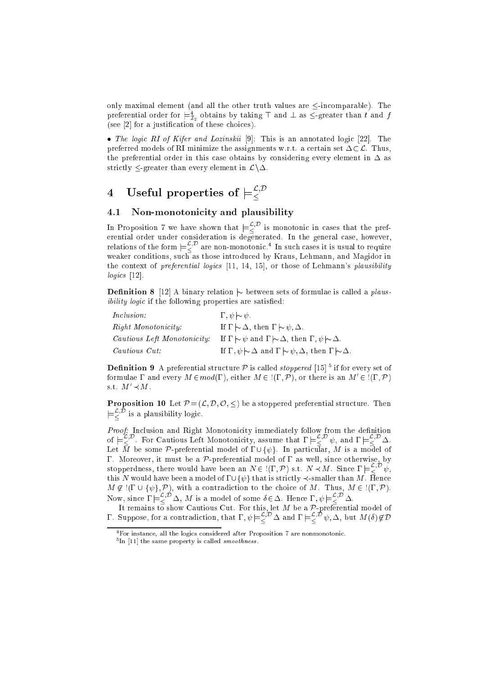only maximal element (and all the other truth values are  $\leq$  incomparable). The preferential order for  $\equiv_{\bar{\mathcal{I}}_2}$  obtains by taking  $+$  and  $\perp$  as  $\leq$ -greater than  $t$  and  $f$ (see [2] for a justication of these choices).

• The logic RI of Kifer and Lozinskii  $[9]$ : This is an annotated logic [22]. The preferred models of RI minimize the assignments w.r.t. a certain set  $\Delta \subset \mathcal{L}$ . Thus, the preferential order in this case obtains by considering every element in  $\Delta$  as strictly  $\leq$ -greater than every element in  $\mathcal{L}\backslash \Delta$ .

## 4 Useful properties of  $\models^{\sim}_\leq$

#### 4.1 Non-monotonicity and plausibility

In Proposition 7 we have shown that  $\equiv \sim$  is monotonic in cases that the prefrelations of the form  $\equiv \frac{L_{i}^{(D)}}{2}$  are non-monotonic.<sup>4</sup> In such cases it is usual to require weaker conditions, such as the those introduced by Kraus, Lehmann, and Magidor into the context of preferential logics [11, 14, 15], or those of Lehmann's plausibility  $\ldots$ 

**Definition 8** [12] A binary relation  $\sim$  between sets of formulae is called a plausibility logic if the following properties are satised:

| <i>Inclusion:</i>           | $\Gamma, \psi \sim \psi$ .                                                                 |
|-----------------------------|--------------------------------------------------------------------------------------------|
| <i>Right Monotonicity:</i>  | If $\Gamma \sim \Delta$ , then $\Gamma \sim \psi$ , $\Delta$ .                             |
| Cautious Left Monotonicity: | If $\Gamma \sim \psi$ and $\Gamma \sim \Delta$ , then $\Gamma, \psi \sim \Delta$ .         |
| Cautious Cut:               | If $\Gamma, \psi \sim \Delta$ and $\Gamma \sim \psi, \Delta$ , then $\Gamma \sim \Delta$ . |

**Definition 9** A preferential structure  $\nu$  is called *stoppered* [15] a fit for every set of formulae 1 and every  $M \in mod(1)$ , either  $M \in \{1, P\}$ , or there is an  $M \in \{1, P\}$ s.t.  $M' \prec M$ .

**Proposition 10** Let  $P = (\mathcal{L}, \mathcal{D}, \mathcal{O}, \leq)$  be a stoppered preferential structure. Then  $\equiv$  is a plausibility logic.

Proof: Inclusion and Right Monotonicity immediately follow from the denition of  $\equiv$   $\geq$  . For Cautious Left Monotonicity, assume that  $\Gamma = \geq$   $\psi$ , and  $\Gamma = \geq$   $\Delta$ . Let  $\overline{M}$  be some  $\mathcal P$ -preferential model of  $\Gamma \cup \{\psi\}$ . In particular, M is a model of  $\Gamma$ . Moreover, it must be a  $P$ -preferential model of  $\Gamma$  as well, since otherwise, by stopperdness, there would have been an  $N \in \{1, P\}$  s.t.  $N \prec M$ . Since  $1 \models \geq^+ \psi$ , this N would have been a model of  $\Gamma \cup \{\psi\}$  that is strictly  $\prec$  smaller than M. Hence M <sup>62</sup> !( [ f g; P), with a contradiction to the choice of M. Thus, M <sup>2</sup> !(; P). Now, since  $I \models \{ \in \Delta, M \text{ is a model of some } \theta \in \Delta \text{. Hence } I, \psi \models \{ \in \Delta \}$ .

The contradiction of the contradiction, that  $\Gamma, \psi \models_{\leq}^{\mathcal{L}, \mathcal{D}} \Delta$  and  $\Gamma \models_{\leq}^{\mathcal{L}, \mathcal{D}} \psi, \Delta$ , but  $M(\delta) \notin \mathcal{D}$ 

<sup>4</sup>For instance, all the logics considered after Proposition <sup>7</sup> are nonmonotonic.

The fitting the same property is called *smoothness*.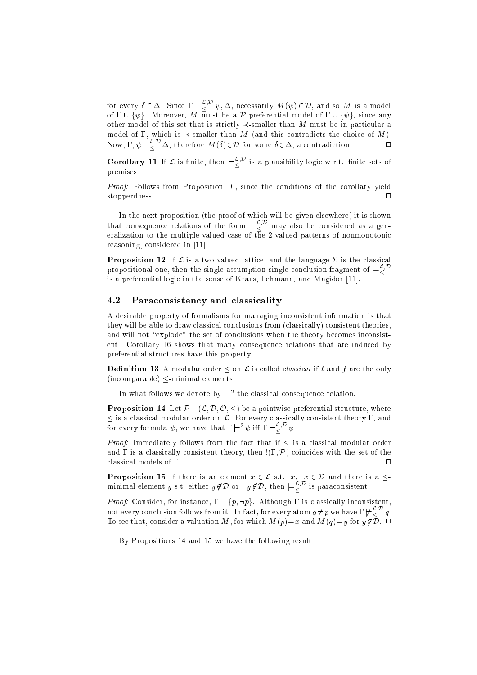for every  $\delta \in \Delta$ . Since  $1 \models \geq^+ \psi, \Delta$ , necessarily  $M(\psi) \in \mathcal{D}$ , and so M is a model of a fig. Moreover, M must be a preferential model of a  $\mathfrak{g}$  g, since  $\mathfrak{g}$ other model of this set that is strictly  $\prec$ -smaller than M must be in particular a model of  $\Gamma$ , which is  $\prec$ -smaller than M (and this contradicts the choice of M).  $\Box$ Now,  $1, \psi \models_{\leq} \Delta$ , therefore  $M(\emptyset) \in D$  for some  $\emptyset \in \Delta$ , a contradiction.

**Corollary 11** If L is finite, then  $\equiv \frac{1}{2}$  is a plausibility logic w.r.t. finite sets of premises.

Proof: Follows from Proposition 10, since the conditions of the corollary yield stopperdness.  $\Box$ 

In the next proposition (the proof of which will be given elsewhere) it is shown that consequence relations of the form  $\equiv \sim$  may also be considered as a generalization to the multiple-valued case of the 2-valued patterns of nonmonotonic reasoning, considered in [11].

**Proposition 12** If  $\mathcal{L}$  is a two valued lattice, and the language  $\Sigma$  is the classical propositional one, then the single-assumption-single-conclusion fragment of  $\models^{\mathcal{L},\mathcal{D}}_{\leq}$  $\sim$ is a preferential logic in the sense of Kraus, Lehmann, and Magidor [11].

#### 4.2 Paraconsistency and classicality

A desirable property of formalisms for managing inconsistent information is that they will be able to draw classical conclusions from (classically) consistent theories, and will not "explode" the set of conclusions when the theory becomes inconsistent. Corollary 16 shows that many consequence relations that are induced by preferential structures have this property.

**Definition 13** A modular order  $\leq$  on L is called *classical* if t and f are the only  $(incomplexable)$   $\leq$ -minimal elements.

In what follows we denote by  $\equiv$  the classical consequence relation.

**Proposition 14** Let  $P = (\mathcal{L}, \mathcal{D}, \mathcal{O}, \leq)$  be a pointwise preferential structure, where  $\leq$  is a classical modular order on L. For every classically consistent theory  $\Gamma$ , and for every formula  $\psi$ , we have that  $\Gamma\models^*\psi$  iff  $\Gamma\models^*\psi$ .

Proof: Immediately follows from the fact that if is a classical modular order and  $\Gamma$  is a classically consistent theory, then  $!(\Gamma,\mathcal{P})$  coincides with the set of the classical models of  $\Gamma$ .  $\Box$ 

minimal element y s.t. either  $y \notin \mathcal{D}$  or  $\neg y \notin \mathcal{D}$ , then  $\models_{<}^{\mathcal{L}, \mathcal{D}}$  is paraconsistent.

 $\mathcal{L} \circ \mathcal{L} \circ \mathcal{L} \circ \mathcal{L} \circ \mathcal{L} \circ \mathcal{L} \circ \mathcal{L} \circ \mathcal{L} \circ \mathcal{L} \circ \mathcal{L} \circ \mathcal{L} \circ \mathcal{L} \circ \mathcal{L} \circ \mathcal{L} \circ \mathcal{L} \circ \mathcal{L} \circ \mathcal{L} \circ \mathcal{L} \circ \mathcal{L} \circ \mathcal{L} \circ \mathcal{L} \circ \mathcal{L} \circ \mathcal{L} \circ \mathcal{L} \circ \mathcal{L} \circ \mathcal{L} \circ \mathcal{L} \circ \mathcal{$ not every conclusion follows from it. In fact, for every atom  $q\neq p$  we have  $\Gamma \not\models \gtrless^+q.$ To see that, consider a valuation M, for which  $M(p)=x$  and  $M(q)=y$  for  $y \notin \mathcal{D}$ .

By Propositions 14 and 15 we have the following result: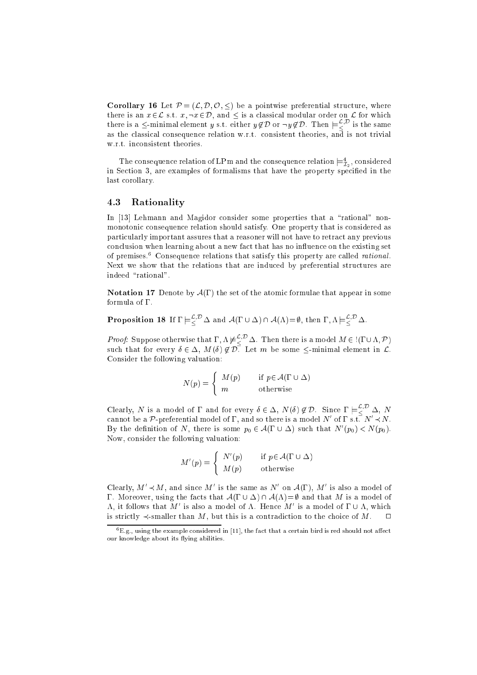**Corollary 16** Let  $\mathcal{P} = (\mathcal{L}, \mathcal{D}, \mathcal{O}, \leq)$  be a pointwise preferential structure, where there is an  $x \in \mathcal{L}$  s.t.  $x, \neg x \in \mathcal{D}$ , and  $\leq$  is a classical modular order on  $\mathcal{L}$  for which there is a  $\le$ -minimal element y s.t. either  $y \notin D$  or  $\neg y \notin D$ . Then  $\models \leq^*$  is the same as the classical consequence relation w.r.t. consistent theories, and is not trivial w.r.t. inconsistent theories.

I ne consequence relation of LPm and the consequence relation  $\models_{\mathcal{I}_2}$ , considered in Section 3, are examples of formalisms that have the property specified in the last corollary.

#### 4.3 Rationality

In [13] Lehmann and Magidor consider some properties that a "rational" nonmonotonic consequence relation should satisfy. One property that is considered as particularly important assures that a reasoner will not have to retract any previous conclusion when learning about a new fact that has no in
uence on the existing set of premises. Consequence relations that satisfy this property are called *rational*. Next we show that the relations that are induced by preferential structures are indeed "rational"

**Notation 17** Denote by  $\mathcal{A}(\Gamma)$  the set of the atomic formulae that appear in some formula of  $\Gamma$ .

## **Proposition 18** If  $I \models \{ \\ \Delta \text{ and } A(I \cup \Delta) \cap A(\Lambda) = \emptyset, \text{ then } I, \Lambda \models \{ \\ \Delta \}$ .

*Proof:* Suppose otherwise that  $\Gamma, \Lambda \not \models \emptyset$   $\Delta$ . Then there is a model  $M \in \Gamma(\Gamma \cup \Lambda, \mathcal{P})$ such that for every <sup>2</sup> , M() <sup>62</sup> D. Let m be some -minimal element in L. Consider the following valuation:

$$
N(p) = \begin{cases} M(p) & \text{if } p \in \mathcal{A}(\Gamma \cup \Delta) \\ m & \text{otherwise} \end{cases}
$$

Clearly, N is a model of 1 and for every  $\delta \in \Delta$ ,  $N(\delta) \notin \mathcal{D}$ . Since  $1 \models \supsetneq^{\sim} \Delta$ , N cannot be a  $P$ -preferential model of L, and so there is a model N  $\,$  of L s.t.  $N\,$   $\prec$  N  $\,$ By the definition of *I*V, there is some  $p_0 \in A(1 \cup \Delta)$  such that *IV* ( $p_0$ )  $\lt N(p_0)$ . Now, consider the following valuation:

$$
M'(p) = \begin{cases} N'(p) & \text{if } p \in \mathcal{A}(\Gamma \cup \Delta) \\ M(p) & \text{otherwise} \end{cases}
$$

Clearly,  $M \prec M$ , and since M is the same as N on  $\mathcal{A}(1)$ , M is also a model of  $\Gamma$ . Moreover, using the facts that  $\mathcal{A}(\Gamma \cup \Delta) \cap \mathcal{A}(\Lambda)=\emptyset$  and that M is a model of  $\Lambda$ , it follows that  $M$  is also a model of  $\Lambda$ . Hence  $M$  is a model of  $\Gamma \cup \Lambda$ , which is strictly  $\prec$ -smaller than M, but this is a contradiction to the choice of M.  $\Box$ 

 $\sim$  E.g., using the example considered in [11], the fact that a certain bird is red should not allect our knowledge about its ying abilities.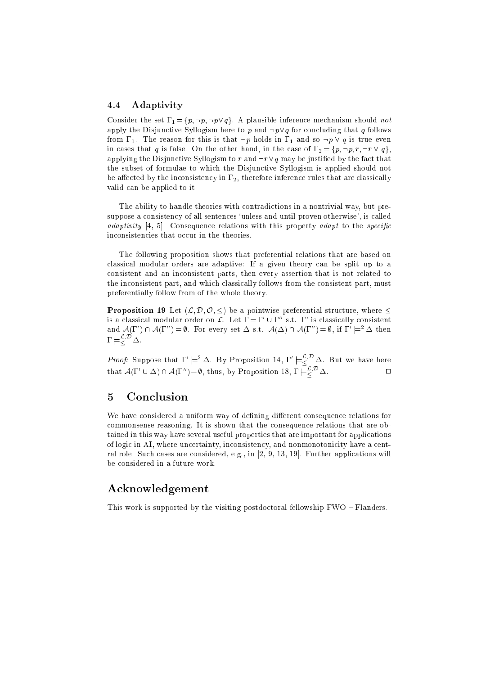#### 4.4 Adaptivity

Consider the set  $\Gamma_1 = \{p, \neg p, \neg p \lor q\}$ . A plausible inference mechanism should not apply the Disjunctive Syllogism here to p and  $\neg p \lor q$  for concluding that q follows from  $\Gamma_1$ . The reason for this is that  $\neg p$  holds in  $\Gamma_1$  and so  $\neg p \lor q$  is true even in cases that q is false. On the other hand, in the case of  $\Gamma_2 = \{p, \neg p, r, \neg r \lor q\},\$ applying the Disjunctive Syllogism to r and  $\neg r \vee q$  may be justified by the fact that the subset of formulae to which the Disjunctive Syllogism is applied should not be affected by the inconsistency in  $\Gamma_2$ , therefore inference rules that are classically valid can be applied to it.

The ability to handle theories with contradictions in a nontrivial way, but presuppose <sup>a</sup> consistency of all sentences `unless and until proven otherwise', is called adaptivity [4, 5]. Consequence relations with this property adapt to the specic inconsistencies that occur in the theories.

The following proposition shows that preferential relations that are based on classical modular orders are adaptive: If a given theory can be split up to a consistent and an inconsistent parts, then every assertion that is not related to the inconsistent part, and which classically follows from the consistent part, must preferentially follow from of the whole theory.

**Proposition 19** Let  $(\mathcal{L}, \mathcal{D}, \mathcal{O}, \leq)$  be a pointwise preferential structure, where  $\leq$ is a classical modular order on L. Let  $\Gamma = \Gamma' \cup \Gamma''$  s.t.  $\Gamma'$  is classically consistent and  $A(1) \cup A(1) = \emptyset$ , for every set  $\Delta$  s.t.  $A(\Delta) \cup A(1) = \emptyset$ , if  $1 \equiv \Delta$  then  $1 \models \supsetneq^{\frown} \Delta.$ 

*Proof:* Suppose that  $\Gamma \models^* \Delta$ . By Proposition 14,  $\Gamma \models^>_{\leq} \Delta$ . But we have here that  $A(1^{\circ} \cup \Delta) \cap A(1^{\circ}) = \emptyset$ , thus, by Proposition 18,  $I \models \gtrsim A$ .

#### <sup>5</sup> Conclusion

We have considered a uniform way of defining different consequence relations for commonsense reasoning. It is shown that the consequence relations that are obtained in this way have several useful properties that are important for applications of logic in AI, where uncertainty, inconsistency, and nonmonotonicity have a central role. Such cases are considered, e.g., in [2, 9, 13, 19]. Further applications will be considered in a future work.

#### Acknowledgement

This work is supported by the visiting postdoctoral fellowship  $FWO - F$ landers.